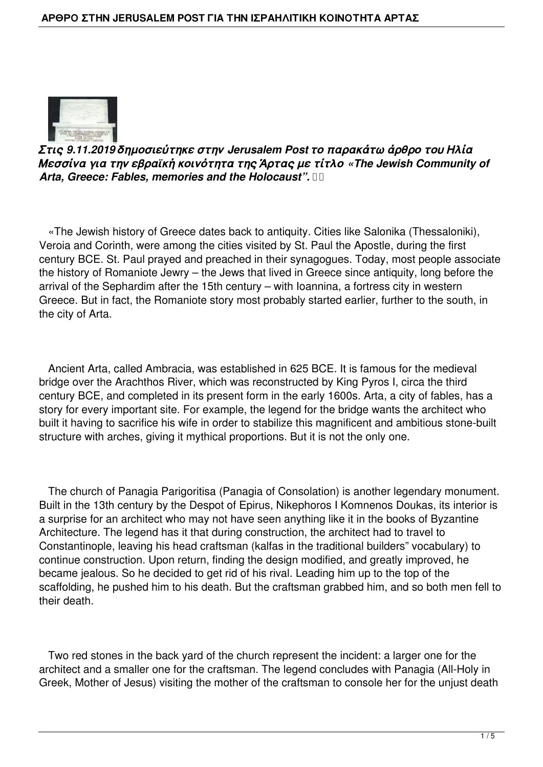

*Στις 9.11.2019 δημοσιεύτηκε στην Jerusalem Post το παρακάτω άρθρο του Ηλία Μεσσίνα για την εβραϊκή κοινότητα της Άρτας με τίτλο «The Jewish Community of Arta, Greece: Fables, memories and the Holocaust".* 

 «The Jewish history of Greece dates back to antiquity. Cities like Salonika (Thessaloniki), Veroia and Corinth, were among the cities visited by St. Paul the Apostle, during the first century BCE. St. Paul prayed and preached in their synagogues. Today, most people associate the history of Romaniote Jewry – the Jews that lived in Greece since antiquity, long before the arrival of the Sephardim after the 15th century – with Ioannina, a fortress city in western Greece. But in fact, the Romaniote story most probably started earlier, further to the south, in the city of Arta.

 Ancient Arta, called Ambracia, was established in 625 BCE. It is famous for the medieval bridge over the Arachthos River, which was reconstructed by King Pyros I, circa the third century BCE, and completed in its present form in the early 1600s. Arta, a city of fables, has a story for every important site. For example, the legend for the bridge wants the architect who built it having to sacrifice his wife in order to stabilize this magnificent and ambitious stone-built structure with arches, giving it mythical proportions. But it is not the only one.

 The church of Panagia Parigoritisa (Panagia of Consolation) is another legendary monument. Built in the 13th century by the Despot of Epirus, Nikephoros I Komnenos Doukas, its interior is a surprise for an architect who may not have seen anything like it in the books of Byzantine Architecture. The legend has it that during construction, the architect had to travel to Constantinople, leaving his head craftsman (kalfas in the traditional builders" vocabulary) to continue construction. Upon return, finding the design modified, and greatly improved, he became jealous. So he decided to get rid of his rival. Leading him up to the top of the scaffolding, he pushed him to his death. But the craftsman grabbed him, and so both men fell to their death.

 Two red stones in the back yard of the church represent the incident: a larger one for the architect and a smaller one for the craftsman. The legend concludes with Panagia (All-Holy in Greek, Mother of Jesus) visiting the mother of the craftsman to console her for the unjust death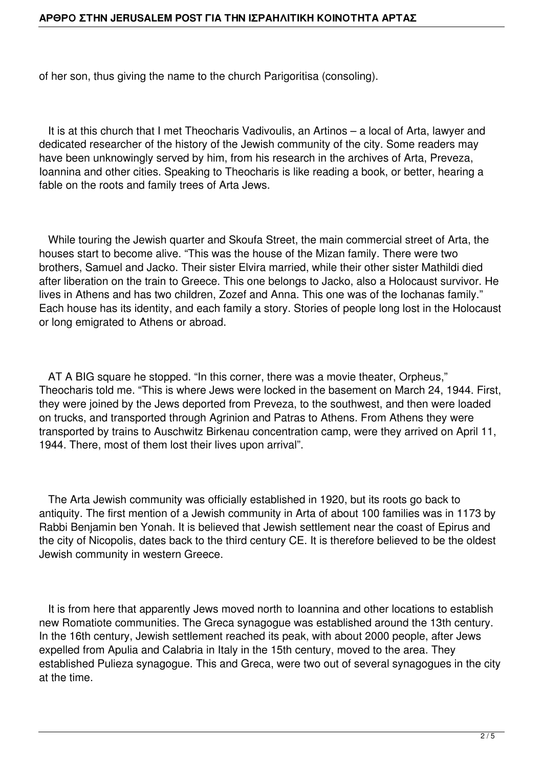of her son, thus giving the name to the church Parigoritisa (consoling).

 It is at this church that I met Theocharis Vadivoulis, an Artinos – a local of Arta, lawyer and dedicated researcher of the history of the Jewish community of the city. Some readers may have been unknowingly served by him, from his research in the archives of Arta, Preveza, Ioannina and other cities. Speaking to Theocharis is like reading a book, or better, hearing a fable on the roots and family trees of Arta Jews.

 While touring the Jewish quarter and Skoufa Street, the main commercial street of Arta, the houses start to become alive. "This was the house of the Mizan family. There were two brothers, Samuel and Jacko. Their sister Elvira married, while their other sister Mathildi died after liberation on the train to Greece. This one belongs to Jacko, also a Holocaust survivor. He lives in Athens and has two children, Zozef and Anna. This one was of the Iochanas family." Each house has its identity, and each family a story. Stories of people long lost in the Holocaust or long emigrated to Athens or abroad.

 AT A BIG square he stopped. "In this corner, there was a movie theater, Orpheus," Theocharis told me. "This is where Jews were locked in the basement on March 24, 1944. First, they were joined by the Jews deported from Preveza, to the southwest, and then were loaded on trucks, and transported through Agrinion and Patras to Athens. From Athens they were transported by trains to Auschwitz Birkenau concentration camp, were they arrived on April 11, 1944. There, most of them lost their lives upon arrival".

 The Arta Jewish community was officially established in 1920, but its roots go back to antiquity. The first mention of a Jewish community in Arta of about 100 families was in 1173 by Rabbi Benjamin ben Yonah. It is believed that Jewish settlement near the coast of Epirus and the city of Nicopolis, dates back to the third century CE. It is therefore believed to be the oldest Jewish community in western Greece.

 It is from here that apparently Jews moved north to Ioannina and other locations to establish new Romatiote communities. The Greca synagogue was established around the 13th century. In the 16th century, Jewish settlement reached its peak, with about 2000 people, after Jews expelled from Apulia and Calabria in Italy in the 15th century, moved to the area. They established Pulieza synagogue. This and Greca, were two out of several synagogues in the city at the time.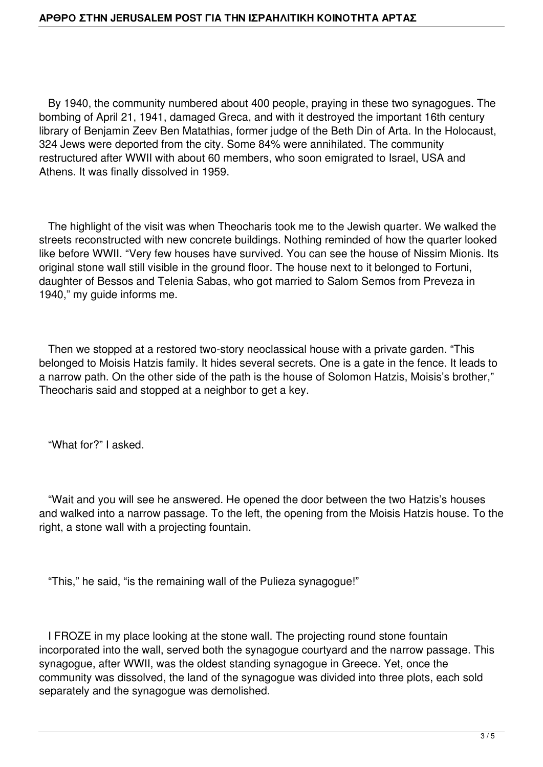By 1940, the community numbered about 400 people, praying in these two synagogues. The bombing of April 21, 1941, damaged Greca, and with it destroyed the important 16th century library of Benjamin Zeev Ben Matathias, former judge of the Beth Din of Arta. In the Holocaust, 324 Jews were deported from the city. Some 84% were annihilated. The community restructured after WWII with about 60 members, who soon emigrated to Israel, USA and Athens. It was finally dissolved in 1959.

 The highlight of the visit was when Theocharis took me to the Jewish quarter. We walked the streets reconstructed with new concrete buildings. Nothing reminded of how the quarter looked like before WWII. "Very few houses have survived. You can see the house of Nissim Mionis. Its original stone wall still visible in the ground floor. The house next to it belonged to Fortuni, daughter of Bessos and Telenia Sabas, who got married to Salom Semos from Preveza in 1940," my guide informs me.

 Then we stopped at a restored two-story neoclassical house with a private garden. "This belonged to Moisis Hatzis family. It hides several secrets. One is a gate in the fence. It leads to a narrow path. On the other side of the path is the house of Solomon Hatzis, Moisis's brother," Theocharis said and stopped at a neighbor to get a key.

"What for?" I asked.

 "Wait and you will see he answered. He opened the door between the two Hatzis's houses and walked into a narrow passage. To the left, the opening from the Moisis Hatzis house. To the right, a stone wall with a projecting fountain.

"This," he said, "is the remaining wall of the Pulieza synagogue!"

 I FROZE in my place looking at the stone wall. The projecting round stone fountain incorporated into the wall, served both the synagogue courtyard and the narrow passage. This synagogue, after WWII, was the oldest standing synagogue in Greece. Yet, once the community was dissolved, the land of the synagogue was divided into three plots, each sold separately and the synagogue was demolished.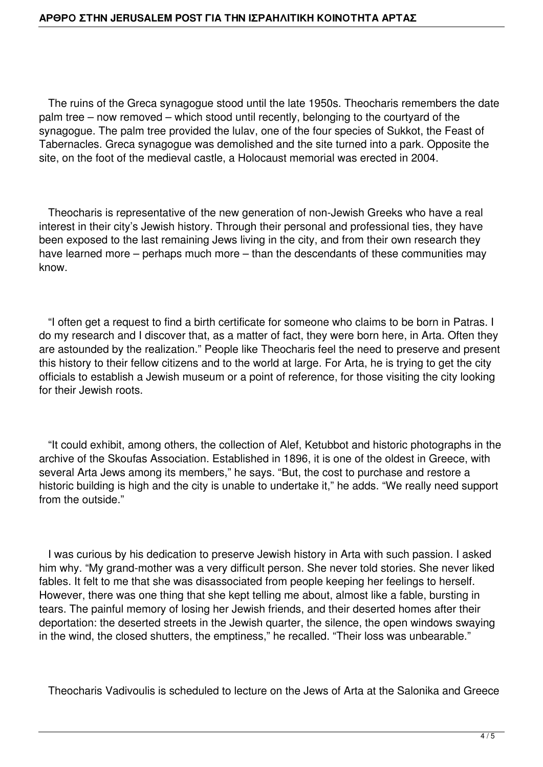## **ΑΡΘΡΟ ΣΤΗΝ JERUSALEM POST ΓΙΑ ΤΗΝ ΙΣΡΑΗΛΙΤΙΚΗ ΚΟΙΝΟΤΗΤΑ ΑΡΤΑΣ**

 The ruins of the Greca synagogue stood until the late 1950s. Theocharis remembers the date palm tree – now removed – which stood until recently, belonging to the courtyard of the synagogue. The palm tree provided the lulav, one of the four species of Sukkot, the Feast of Tabernacles. Greca synagogue was demolished and the site turned into a park. Opposite the site, on the foot of the medieval castle, a Holocaust memorial was erected in 2004.

 Theocharis is representative of the new generation of non-Jewish Greeks who have a real interest in their city's Jewish history. Through their personal and professional ties, they have been exposed to the last remaining Jews living in the city, and from their own research they have learned more – perhaps much more – than the descendants of these communities may know.

 "I often get a request to find a birth certificate for someone who claims to be born in Patras. I do my research and I discover that, as a matter of fact, they were born here, in Arta. Often they are astounded by the realization." People like Theocharis feel the need to preserve and present this history to their fellow citizens and to the world at large. For Arta, he is trying to get the city officials to establish a Jewish museum or a point of reference, for those visiting the city looking for their Jewish roots.

 "It could exhibit, among others, the collection of Alef, Ketubbot and historic photographs in the archive of the Skoufas Association. Established in 1896, it is one of the oldest in Greece, with several Arta Jews among its members," he says. "But, the cost to purchase and restore a historic building is high and the city is unable to undertake it," he adds. "We really need support from the outside."

 I was curious by his dedication to preserve Jewish history in Arta with such passion. I asked him why. "My grand-mother was a very difficult person. She never told stories. She never liked fables. It felt to me that she was disassociated from people keeping her feelings to herself. However, there was one thing that she kept telling me about, almost like a fable, bursting in tears. The painful memory of losing her Jewish friends, and their deserted homes after their deportation: the deserted streets in the Jewish quarter, the silence, the open windows swaying in the wind, the closed shutters, the emptiness," he recalled. "Their loss was unbearable."

Theocharis Vadivoulis is scheduled to lecture on the Jews of Arta at the Salonika and Greece